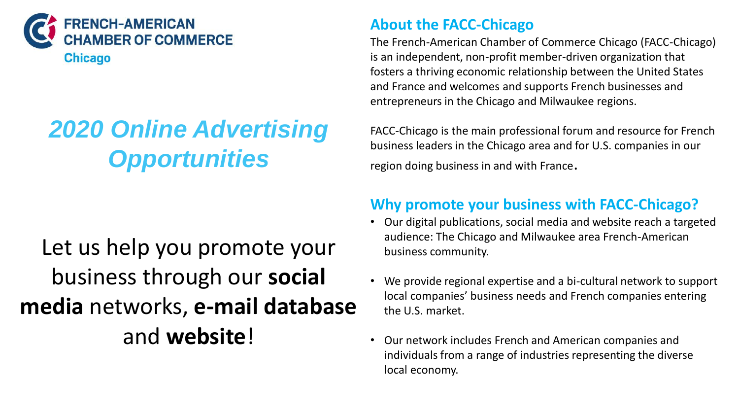

# *2020 Online Advertising Opportunities*

## **About the FACC-Chicago**

The French-American Chamber of Commerce Chicago (FACC-Chicago) is an independent, non-profit member-driven organization that fosters a thriving economic relationship between the United States and France and welcomes and supports French businesses and entrepreneurs in the Chicago and Milwaukee regions.

FACC-Chicago is the main professional forum and resource for French business leaders in the Chicago area and for U.S. companies in our region doing business in and with France.

# Let us help you promote your business through our **social media** networks, **e-mail database**  and **website**!

## **Why promote your business with FACC-Chicago?**

- Our digital publications, social media and website reach a targeted audience: The Chicago and Milwaukee area French-American business community.
- We provide regional expertise and a bi-cultural network to support local companies' business needs and French companies entering the U.S. market.
- Our network includes French and American companies and individuals from a range of industries representing the diverse local economy.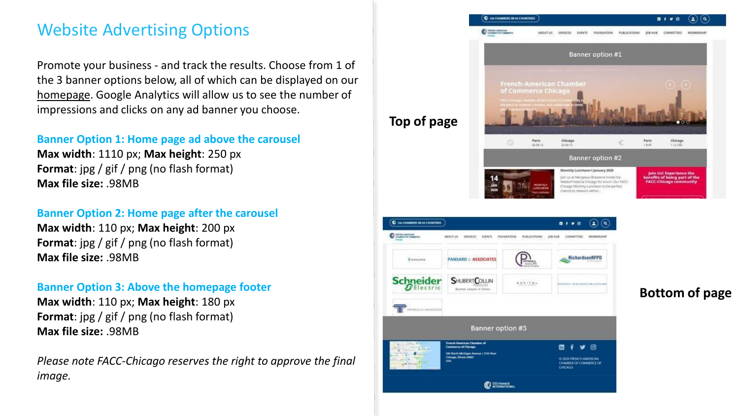# Website Advertising Options

Promote your business - and track the results. Choose from 1 of the 3 banner options below, all of which can be displayed on our [homepage](https://www.facc-chicago.com/). Google Analytics will allow us to see the number of impressions and clicks on any ad banner you choose.

### **Banner Option 1: Home page ad above the carousel**

**Max width**: 1110 px; **Max height**: 250 px **Format**: jpg / gif / png (no flash format) **Max file size:** .98MB

### **Banner Option 2: Home page after the carousel**

**Max width**: 110 px; **Max height**: 200 px **Format**: jpg / gif / png (no flash format) **Max file size:** .98MB

### **Banner Option 3: Above the homepage footer**

**Max width**: 110 px; **Max height**: 180 px **Format**: jpg / gif / png (no flash format) **Max file size:** .98MB

*Please note FACC-Chicago reserves the right to approve the final image.*

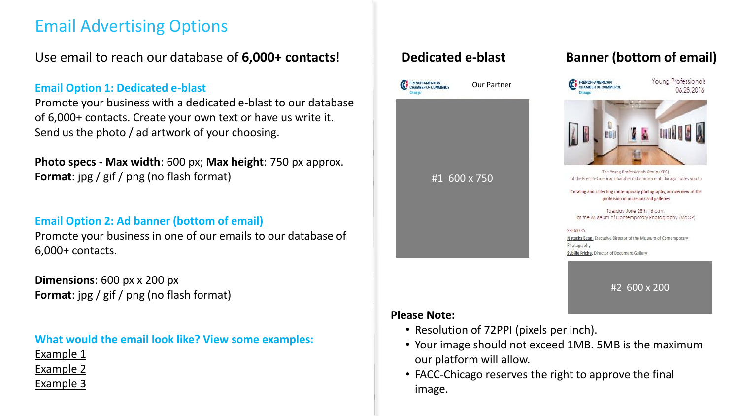# Email Advertising Options

Use email to reach our database of **6,000+ contacts**!

### **Email Option 1: Dedicated e-blast**

Promote your business with a dedicated e-blast to our database of 6,000+ contacts. Create your own text or have us write it. Send us the photo / ad artwork of your choosing.

**Photo specs - Max width**: 600 px; **Max height**: 750 px approx. **Format**: jpg / gif / png (no flash format)

### **Email Option 2: Ad banner (bottom of email)**

Promote your business in one of our emails to our database of 6,000+ contacts.

**Dimensions**: 600 px x 200 px **Format**: jpg / gif / png (no flash format)

**What would the email look like? View some examples:**

[Example 1](http://campaign.r20.constantcontact.com/render?ca=38763b59-a70e-4225-9336-1c398d212bf1&preview=true&m=1102537836145&id=preview) [Example 2](http://campaign.r20.constantcontact.com/render?ca=12d3cfbc-766d-42e6-91de-9692fbf420ea&preview=true&m=1102537836145&id=preview) [Example 3](http://campaign.r20.constantcontact.com/render?m=1102537836145&ca=75d71aed-a661-44a3-af49-09d5b19c3ac2)



### **Dedicated e-blast Banner (bottom of email)**



- Your image should not exceed 1MB. 5MB is the maximum
- FACC-Chicago reserves the right to approve the final image.